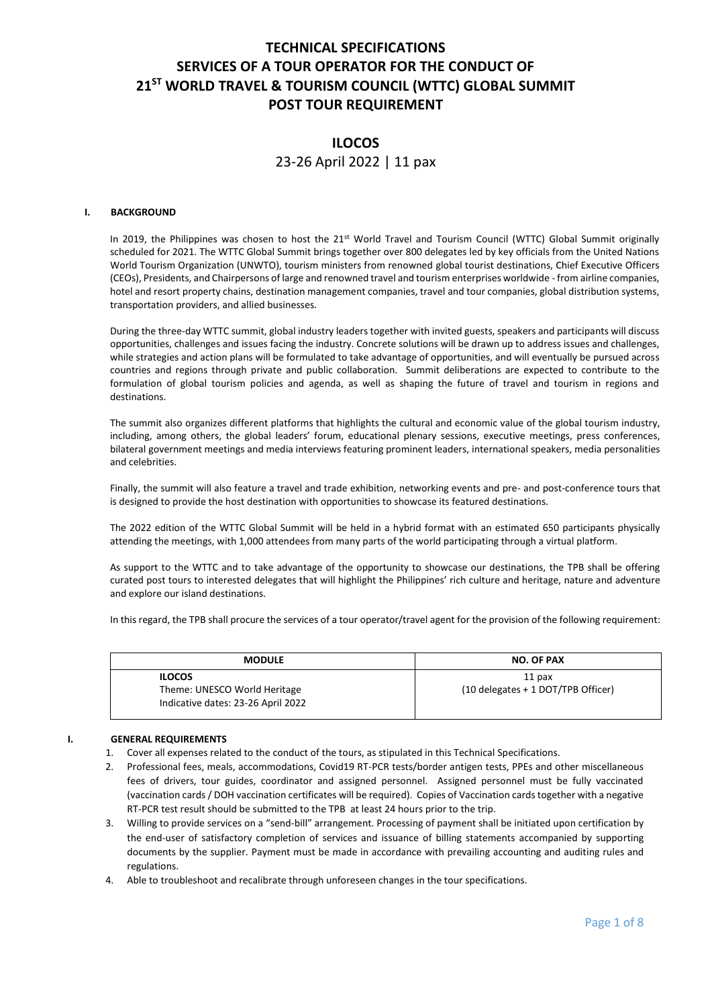# **TECHNICAL SPECIFICATIONS SERVICES OF A TOUR OPERATOR FOR THE CONDUCT OF 21ST WORLD TRAVEL & TOURISM COUNCIL (WTTC) GLOBAL SUMMIT POST TOUR REQUIREMENT**

# **ILOCOS**

23-26 April 2022 | 11 pax

## **I. BACKGROUND**

In 2019, the Philippines was chosen to host the 21<sup>st</sup> World Travel and Tourism Council (WTTC) Global Summit originally scheduled for 2021. The WTTC Global Summit brings together over 800 delegates led by key officials from the United Nations World Tourism Organization (UNWTO), tourism ministers from renowned global tourist destinations, Chief Executive Officers (CEOs), Presidents, and Chairpersons of large and renowned travel and tourism enterprises worldwide - from airline companies, hotel and resort property chains, destination management companies, travel and tour companies, global distribution systems, transportation providers, and allied businesses.

During the three-day WTTC summit, global industry leaders together with invited guests, speakers and participants will discuss opportunities, challenges and issues facing the industry. Concrete solutions will be drawn up to address issues and challenges, while strategies and action plans will be formulated to take advantage of opportunities, and will eventually be pursued across countries and regions through private and public collaboration. Summit deliberations are expected to contribute to the formulation of global tourism policies and agenda, as well as shaping the future of travel and tourism in regions and destinations.

The summit also organizes different platforms that highlights the cultural and economic value of the global tourism industry, including, among others, the global leaders' forum, educational plenary sessions, executive meetings, press conferences, bilateral government meetings and media interviews featuring prominent leaders, international speakers, media personalities and celebrities.

Finally, the summit will also feature a travel and trade exhibition, networking events and pre- and post-conference tours that is designed to provide the host destination with opportunities to showcase its featured destinations.

The 2022 edition of the WTTC Global Summit will be held in a hybrid format with an estimated 650 participants physically attending the meetings, with 1,000 attendees from many parts of the world participating through a virtual platform.

As support to the WTTC and to take advantage of the opportunity to showcase our destinations, the TPB shall be offering curated post tours to interested delegates that will highlight the Philippines' rich culture and heritage, nature and adventure and explore our island destinations.

In this regard, the TPB shall procure the services of a tour operator/travel agent for the provision of the following requirement:

| <b>MODULE</b>                      | <b>NO. OF PAX</b>                    |
|------------------------------------|--------------------------------------|
| <b>ILOCOS</b>                      | 11 <sub>px</sub>                     |
| Theme: UNESCO World Heritage       | $(10$ delegates + 1 DOT/TPB Officer) |
| Indicative dates: 23-26 April 2022 |                                      |

## **I. GENERAL REQUIREMENTS**

- 1. Cover all expenses related to the conduct of the tours, as stipulated in this Technical Specifications.
- 2. Professional fees, meals, accommodations, Covid19 RT-PCR tests/border antigen tests, PPEs and other miscellaneous fees of drivers, tour guides, coordinator and assigned personnel. Assigned personnel must be fully vaccinated (vaccination cards / DOH vaccination certificates will be required). Copies of Vaccination cards together with a negative RT-PCR test result should be submitted to the TPB at least 24 hours prior to the trip.
- 3. Willing to provide services on a "send-bill" arrangement. Processing of payment shall be initiated upon certification by the end-user of satisfactory completion of services and issuance of billing statements accompanied by supporting documents by the supplier. Payment must be made in accordance with prevailing accounting and auditing rules and regulations.
- 4. Able to troubleshoot and recalibrate through unforeseen changes in the tour specifications.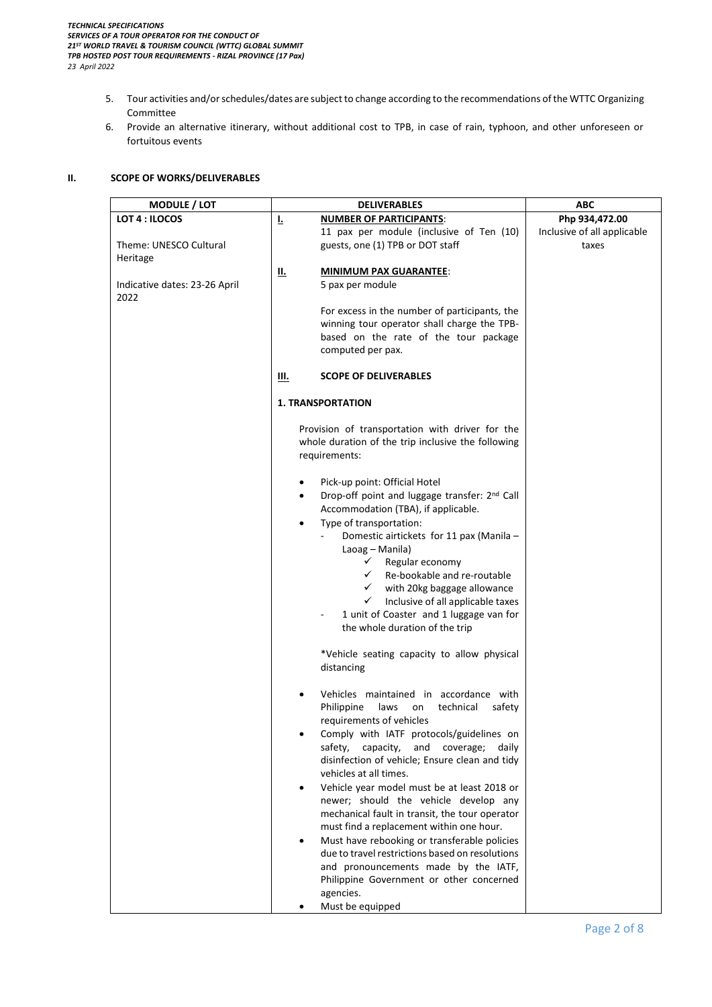- 5. Tour activities and/or schedules/dates are subject to change according to the recommendations of the WTTC Organizing Committee
- 6. Provide an alternative itinerary, without additional cost to TPB, in case of rain, typhoon, and other unforeseen or fortuitous events

## **II. SCOPE OF WORKS/DELIVERABLES**

| <b>MODULE</b> / LOT                   | <b>DELIVERABLES</b>                                                                                                                                        | <b>ABC</b>                           |
|---------------------------------------|------------------------------------------------------------------------------------------------------------------------------------------------------------|--------------------------------------|
| LOT 4 : ILOCOS                        | F<br><b>NUMBER OF PARTICIPANTS:</b>                                                                                                                        | Php 934,472.00                       |
| Theme: UNESCO Cultural                | 11 pax per module (inclusive of Ten (10)<br>guests, one (1) TPB or DOT staff                                                                               | Inclusive of all applicable<br>taxes |
| Heritage                              | <u>II.</u><br><b>MINIMUM PAX GUARANTEE:</b>                                                                                                                |                                      |
| Indicative dates: 23-26 April<br>2022 | 5 pax per module                                                                                                                                           |                                      |
|                                       | For excess in the number of participants, the<br>winning tour operator shall charge the TPB-<br>based on the rate of the tour package<br>computed per pax. |                                      |
|                                       | <b>SCOPE OF DELIVERABLES</b><br>Ш.                                                                                                                         |                                      |
|                                       | <b>1. TRANSPORTATION</b>                                                                                                                                   |                                      |
|                                       | Provision of transportation with driver for the<br>whole duration of the trip inclusive the following<br>requirements:                                     |                                      |
|                                       | Pick-up point: Official Hotel                                                                                                                              |                                      |
|                                       | Drop-off point and luggage transfer: 2 <sup>nd</sup> Call<br>$\bullet$<br>Accommodation (TBA), if applicable.                                              |                                      |
|                                       | Type of transportation:<br>$\bullet$<br>Domestic airtickets for 11 pax (Manila -<br>Laoag – Manila)                                                        |                                      |
|                                       | $\checkmark$ Regular economy<br>Re-bookable and re-routable<br>$\checkmark$                                                                                |                                      |
|                                       | $\checkmark$<br>with 20kg baggage allowance<br>$\checkmark$<br>Inclusive of all applicable taxes                                                           |                                      |
|                                       | 1 unit of Coaster and 1 luggage van for<br>the whole duration of the trip                                                                                  |                                      |
|                                       | *Vehicle seating capacity to allow physical<br>distancing                                                                                                  |                                      |
|                                       | Vehicles maintained in accordance with<br>Philippine<br>laws<br>technical<br>safety<br>on<br>requirements of vehicles                                      |                                      |
|                                       | Comply with IATF protocols/guidelines on                                                                                                                   |                                      |
|                                       | safety,<br>capacity,<br>and<br>coverage;<br>daily<br>disinfection of vehicle; Ensure clean and tidy<br>vehicles at all times.                              |                                      |
|                                       | Vehicle year model must be at least 2018 or<br>$\bullet$                                                                                                   |                                      |
|                                       | newer; should the vehicle develop any<br>mechanical fault in transit, the tour operator<br>must find a replacement within one hour.                        |                                      |
|                                       | Must have rebooking or transferable policies<br>$\bullet$                                                                                                  |                                      |
|                                       | due to travel restrictions based on resolutions<br>and pronouncements made by the IATF,                                                                    |                                      |
|                                       | Philippine Government or other concerned<br>agencies.                                                                                                      |                                      |
|                                       | Must be equipped                                                                                                                                           |                                      |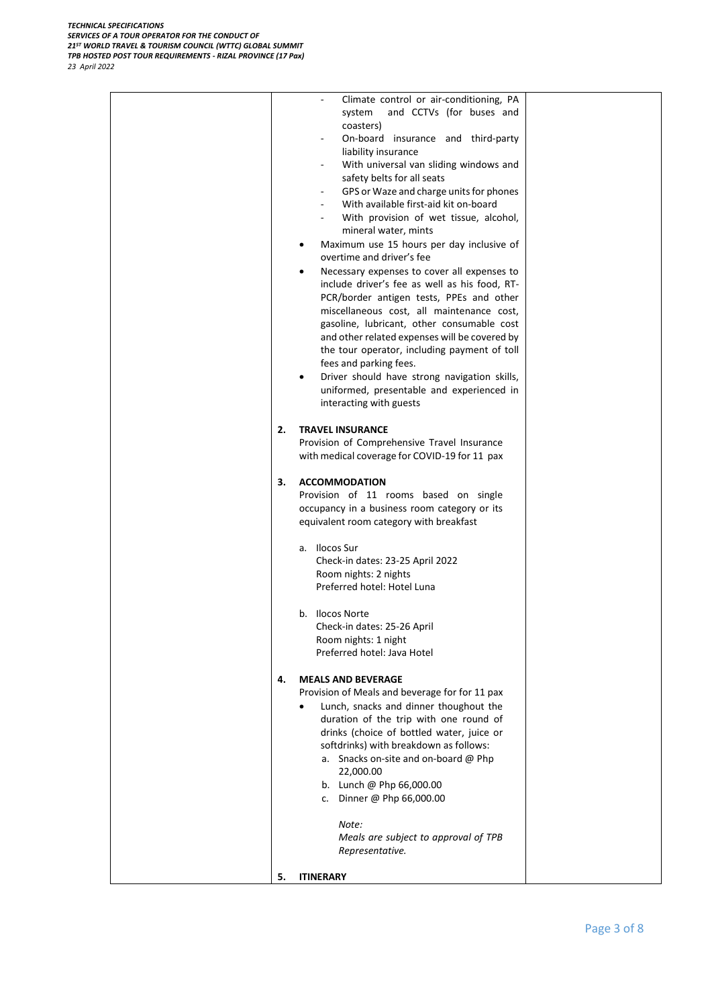| Climate control or air-conditioning, PA<br>and CCTVs (for buses and<br>system<br>coasters)<br>On-board insurance and third-party<br>liability insurance<br>With universal van sliding windows and<br>safety belts for all seats<br>GPS or Waze and charge units for phones<br>$\blacksquare$<br>With available first-aid kit on-board<br>With provision of wet tissue, alcohol,<br>mineral water, mints<br>Maximum use 15 hours per day inclusive of<br>٠<br>overtime and driver's fee<br>Necessary expenses to cover all expenses to<br>٠<br>include driver's fee as well as his food, RT-<br>PCR/border antigen tests, PPEs and other<br>miscellaneous cost, all maintenance cost,<br>gasoline, lubricant, other consumable cost<br>and other related expenses will be covered by<br>the tour operator, including payment of toll<br>fees and parking fees.<br>Driver should have strong navigation skills,<br>$\bullet$<br>uniformed, presentable and experienced in<br>interacting with guests<br>2.<br><b>TRAVEL INSURANCE</b><br>Provision of Comprehensive Travel Insurance<br>with medical coverage for COVID-19 for 11 pax<br>З.<br><b>ACCOMMODATION</b><br>Provision of 11 rooms based on single<br>occupancy in a business room category or its<br>equivalent room category with breakfast<br>a. Ilocos Sur<br>Check-in dates: 23-25 April 2022<br>Room nights: 2 nights<br>Preferred hotel: Hotel Luna<br>b. Ilocos Norte<br>Check-in dates: 25-26 April<br>Room nights: 1 night<br>Preferred hotel: Java Hotel<br>4.<br><b>MEALS AND BEVERAGE</b><br>Provision of Meals and beverage for for 11 pax<br>Lunch, snacks and dinner thoughout the<br>duration of the trip with one round of<br>drinks (choice of bottled water, juice or<br>softdrinks) with breakdown as follows:<br>a. Snacks on-site and on-board @ Php<br>22,000.00<br>b. Lunch @ Php 66,000.00<br>Dinner @ Php 66,000.00<br>c.<br>Note:<br>Meals are subject to approval of TPB |
|---------------------------------------------------------------------------------------------------------------------------------------------------------------------------------------------------------------------------------------------------------------------------------------------------------------------------------------------------------------------------------------------------------------------------------------------------------------------------------------------------------------------------------------------------------------------------------------------------------------------------------------------------------------------------------------------------------------------------------------------------------------------------------------------------------------------------------------------------------------------------------------------------------------------------------------------------------------------------------------------------------------------------------------------------------------------------------------------------------------------------------------------------------------------------------------------------------------------------------------------------------------------------------------------------------------------------------------------------------------------------------------------------------------------------------------------------------------------------------------------------------------------------------------------------------------------------------------------------------------------------------------------------------------------------------------------------------------------------------------------------------------------------------------------------------------------------------------------------------------------------------------------------------------------------------------------------------------|
| Representative.                                                                                                                                                                                                                                                                                                                                                                                                                                                                                                                                                                                                                                                                                                                                                                                                                                                                                                                                                                                                                                                                                                                                                                                                                                                                                                                                                                                                                                                                                                                                                                                                                                                                                                                                                                                                                                                                                                                                               |
| 5.<br><b>ITINERARY</b>                                                                                                                                                                                                                                                                                                                                                                                                                                                                                                                                                                                                                                                                                                                                                                                                                                                                                                                                                                                                                                                                                                                                                                                                                                                                                                                                                                                                                                                                                                                                                                                                                                                                                                                                                                                                                                                                                                                                        |
|                                                                                                                                                                                                                                                                                                                                                                                                                                                                                                                                                                                                                                                                                                                                                                                                                                                                                                                                                                                                                                                                                                                                                                                                                                                                                                                                                                                                                                                                                                                                                                                                                                                                                                                                                                                                                                                                                                                                                               |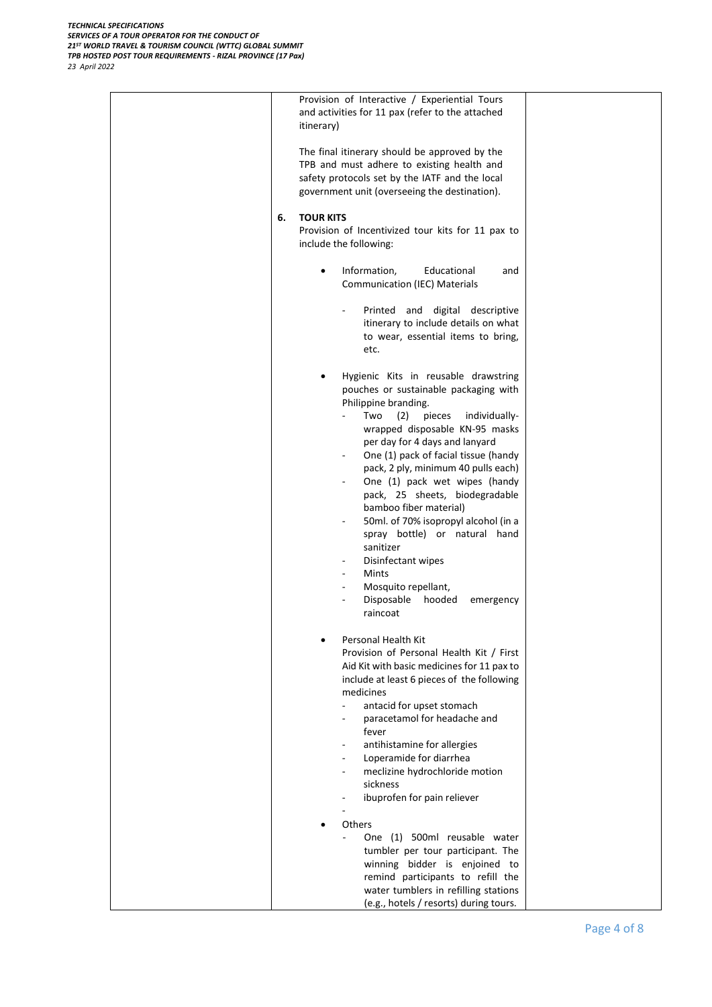| Provision of Interactive / Experiential Tours<br>and activities for 11 pax (refer to the attached<br>itinerary)                                                                                                                                                                                                                                                                                                                                                                                                                                                                                         |
|---------------------------------------------------------------------------------------------------------------------------------------------------------------------------------------------------------------------------------------------------------------------------------------------------------------------------------------------------------------------------------------------------------------------------------------------------------------------------------------------------------------------------------------------------------------------------------------------------------|
| The final itinerary should be approved by the<br>TPB and must adhere to existing health and<br>safety protocols set by the IATF and the local<br>government unit (overseeing the destination).                                                                                                                                                                                                                                                                                                                                                                                                          |
| 6.<br><b>TOUR KITS</b><br>Provision of Incentivized tour kits for 11 pax to<br>include the following:                                                                                                                                                                                                                                                                                                                                                                                                                                                                                                   |
| Information,<br>Educational<br>and<br>$\bullet$<br><b>Communication (IEC) Materials</b>                                                                                                                                                                                                                                                                                                                                                                                                                                                                                                                 |
| Printed and digital descriptive<br>$\overline{\phantom{a}}$<br>itinerary to include details on what<br>to wear, essential items to bring,<br>etc.                                                                                                                                                                                                                                                                                                                                                                                                                                                       |
| Hygienic Kits in reusable drawstring<br>pouches or sustainable packaging with<br>Philippine branding.<br>(2)<br>pieces<br>Two<br>individually-<br>wrapped disposable KN-95 masks<br>per day for 4 days and lanyard<br>One (1) pack of facial tissue (handy<br>pack, 2 ply, minimum 40 pulls each)<br>One (1) pack wet wipes (handy<br>۰<br>pack, 25 sheets, biodegradable<br>bamboo fiber material)<br>50ml. of 70% isopropyl alcohol (in a<br>spray bottle) or natural hand<br>sanitizer<br>Disinfectant wipes<br><b>Mints</b><br>Mosquito repellant,<br>Disposable<br>hooded<br>emergency<br>raincoat |
| Personal Health Kit<br>Provision of Personal Health Kit / First<br>Aid Kit with basic medicines for 11 pax to<br>include at least 6 pieces of the following<br>medicines<br>antacid for upset stomach<br>$\blacksquare$<br>paracetamol for headache and<br>fever<br>antihistamine for allergies<br>Loperamide for diarrhea<br>meclizine hydrochloride motion<br>sickness<br>ibuprofen for pain reliever                                                                                                                                                                                                 |
| Others<br>One (1) 500ml reusable water<br>tumbler per tour participant. The<br>winning bidder is enjoined to<br>remind participants to refill the<br>water tumblers in refilling stations<br>(e.g., hotels / resorts) during tours.                                                                                                                                                                                                                                                                                                                                                                     |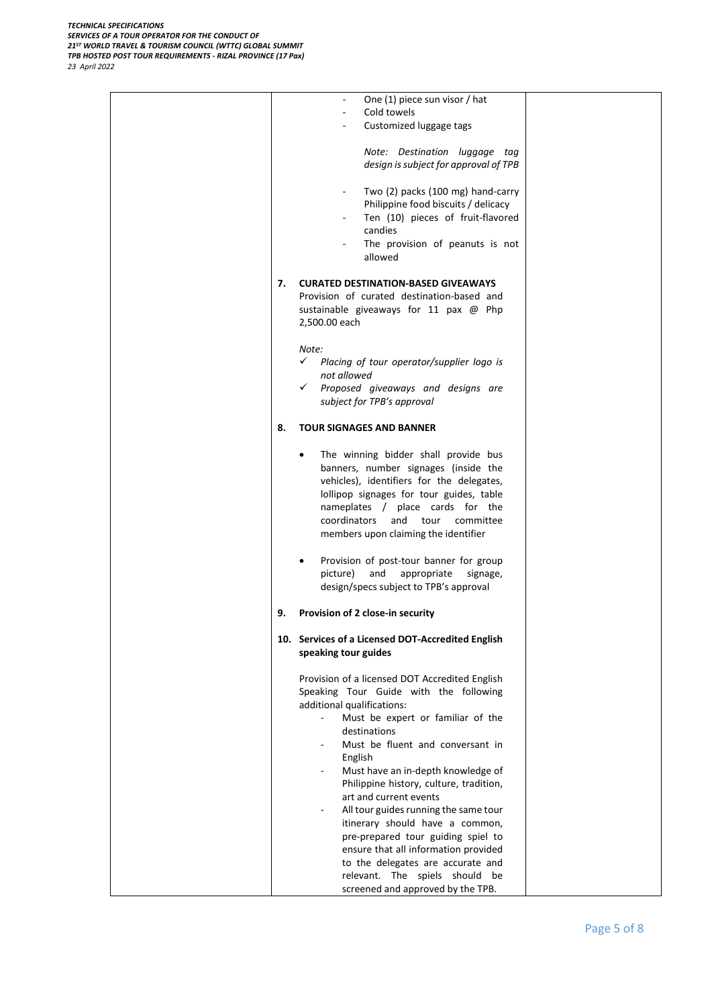|    | One (1) piece sun visor / hat<br>$\blacksquare$                   |  |
|----|-------------------------------------------------------------------|--|
|    | Cold towels                                                       |  |
|    | Customized luggage tags                                           |  |
|    |                                                                   |  |
|    |                                                                   |  |
|    | Note: Destination luggage tag                                     |  |
|    | design is subject for approval of TPB                             |  |
|    |                                                                   |  |
|    |                                                                   |  |
|    | Two (2) packs (100 mg) hand-carry<br>$\overline{\phantom{a}}$     |  |
|    | Philippine food biscuits / delicacy                               |  |
|    | Ten (10) pieces of fruit-flavored                                 |  |
|    | candies                                                           |  |
|    |                                                                   |  |
|    | The provision of peanuts is not<br>$\overline{\phantom{a}}$       |  |
|    | allowed                                                           |  |
|    |                                                                   |  |
| 7. | <b>CURATED DESTINATION-BASED GIVEAWAYS</b>                        |  |
|    | Provision of curated destination-based and                        |  |
|    |                                                                   |  |
|    | sustainable giveaways for 11 pax @ Php                            |  |
|    | 2,500.00 each                                                     |  |
|    |                                                                   |  |
|    | Note:                                                             |  |
|    |                                                                   |  |
|    | $\checkmark$<br>Placing of tour operator/supplier logo is         |  |
|    | not allowed                                                       |  |
|    | $\checkmark$<br>Proposed giveaways and designs are                |  |
|    | subject for TPB's approval                                        |  |
|    |                                                                   |  |
|    |                                                                   |  |
| 8. | <b>TOUR SIGNAGES AND BANNER</b>                                   |  |
|    |                                                                   |  |
|    | The winning bidder shall provide bus<br>$\bullet$                 |  |
|    |                                                                   |  |
|    | banners, number signages (inside the                              |  |
|    | vehicles), identifiers for the delegates,                         |  |
|    | lollipop signages for tour guides, table                          |  |
|    | nameplates / place cards for the                                  |  |
|    | coordinators<br>and tour<br>committee                             |  |
|    |                                                                   |  |
|    | members upon claiming the identifier                              |  |
|    |                                                                   |  |
|    | Provision of post-tour banner for group                           |  |
|    |                                                                   |  |
|    | picture)<br>and<br>appropriate<br>signage,                        |  |
|    | design/specs subject to TPB's approval                            |  |
|    |                                                                   |  |
| 9. | Provision of 2 close-in security                                  |  |
|    |                                                                   |  |
|    |                                                                   |  |
|    | 10. Services of a Licensed DOT-Accredited English                 |  |
|    | speaking tour guides                                              |  |
|    |                                                                   |  |
|    | Provision of a licensed DOT Accredited English                    |  |
|    |                                                                   |  |
|    | Speaking Tour Guide with the following                            |  |
|    | additional qualifications:                                        |  |
|    | Must be expert or familiar of the<br>$\mathcal{L}_{\mathcal{A}}$  |  |
|    | destinations                                                      |  |
|    |                                                                   |  |
|    | Must be fluent and conversant in<br>$\overline{\phantom{a}}$      |  |
|    | English                                                           |  |
|    | Must have an in-depth knowledge of                                |  |
|    | Philippine history, culture, tradition,                           |  |
|    |                                                                   |  |
|    | art and current events                                            |  |
|    | All tour guides running the same tour<br>$\overline{\phantom{a}}$ |  |
|    | itinerary should have a common,                                   |  |
|    |                                                                   |  |
|    | pre-prepared tour guiding spiel to                                |  |
|    | ensure that all information provided                              |  |
|    | to the delegates are accurate and                                 |  |
|    |                                                                   |  |
|    | relevant. The spiels should be                                    |  |
|    | screened and approved by the TPB.                                 |  |
|    |                                                                   |  |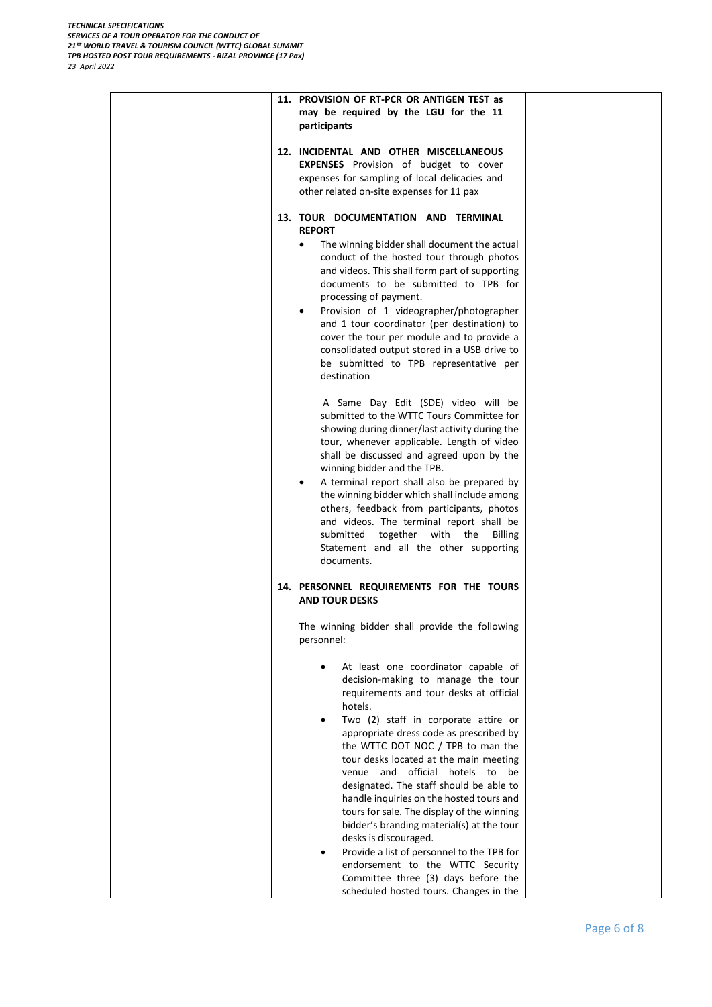| may be required by the LGU for the 11<br>participants                                                                                                                                                                                                                                                                                                                                                                                                                                                                                                                                                                                                                                                                            |                                                                                                                                                                                                                           |
|----------------------------------------------------------------------------------------------------------------------------------------------------------------------------------------------------------------------------------------------------------------------------------------------------------------------------------------------------------------------------------------------------------------------------------------------------------------------------------------------------------------------------------------------------------------------------------------------------------------------------------------------------------------------------------------------------------------------------------|---------------------------------------------------------------------------------------------------------------------------------------------------------------------------------------------------------------------------|
| <b>EXPENSES</b> Provision of budget to cover<br>expenses for sampling of local delicacies and<br>other related on-site expenses for 11 pax                                                                                                                                                                                                                                                                                                                                                                                                                                                                                                                                                                                       |                                                                                                                                                                                                                           |
| <b>REPORT</b><br>The winning bidder shall document the actual<br>conduct of the hosted tour through photos<br>and videos. This shall form part of supporting<br>documents to be submitted to TPB for<br>processing of payment.<br>Provision of 1 videographer/photographer<br>$\bullet$<br>and 1 tour coordinator (per destination) to<br>cover the tour per module and to provide a<br>consolidated output stored in a USB drive to<br>be submitted to TPB representative per<br>destination                                                                                                                                                                                                                                    |                                                                                                                                                                                                                           |
| A Same Day Edit (SDE) video will be<br>submitted to the WTTC Tours Committee for<br>showing during dinner/last activity during the<br>tour, whenever applicable. Length of video<br>shall be discussed and agreed upon by the<br>winning bidder and the TPB.<br>A terminal report shall also be prepared by<br>$\bullet$<br>the winning bidder which shall include among<br>others, feedback from participants, photos<br>and videos. The terminal report shall be<br>submitted together with the<br><b>Billing</b><br>Statement and all the other supporting<br>documents.                                                                                                                                                      |                                                                                                                                                                                                                           |
| <b>AND TOUR DESKS</b>                                                                                                                                                                                                                                                                                                                                                                                                                                                                                                                                                                                                                                                                                                            |                                                                                                                                                                                                                           |
| personnel:<br>At least one coordinator capable of<br>decision-making to manage the tour<br>requirements and tour desks at official<br>hotels.<br>Two (2) staff in corporate attire or<br>appropriate dress code as prescribed by<br>the WTTC DOT NOC / TPB to man the<br>tour desks located at the main meeting<br>venue and official hotels to be<br>designated. The staff should be able to<br>handle inquiries on the hosted tours and<br>tours for sale. The display of the winning<br>bidder's branding material(s) at the tour<br>desks is discouraged.<br>Provide a list of personnel to the TPB for<br>endorsement to the WTTC Security<br>Committee three (3) days before the<br>scheduled hosted tours. Changes in the |                                                                                                                                                                                                                           |
|                                                                                                                                                                                                                                                                                                                                                                                                                                                                                                                                                                                                                                                                                                                                  | 11. PROVISION OF RT-PCR OR ANTIGEN TEST as<br>12. INCIDENTAL AND OTHER MISCELLANEOUS<br>13. TOUR DOCUMENTATION AND TERMINAL<br>14. PERSONNEL REQUIREMENTS FOR THE TOURS<br>The winning bidder shall provide the following |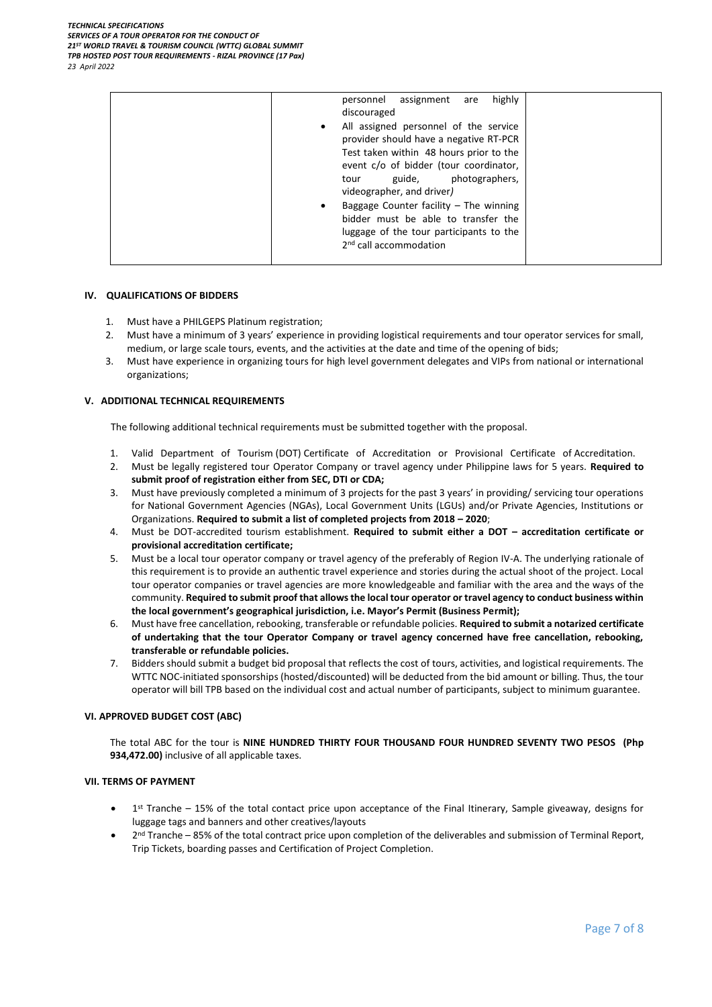| highly<br>assignment<br>personnel<br>are<br>discouraged                                                                                                                                                                                                                                                                                                                                       |  |
|-----------------------------------------------------------------------------------------------------------------------------------------------------------------------------------------------------------------------------------------------------------------------------------------------------------------------------------------------------------------------------------------------|--|
| All assigned personnel of the service<br>$\bullet$<br>provider should have a negative RT-PCR<br>Test taken within 48 hours prior to the<br>event c/o of bidder (tour coordinator,<br>guide,<br>photographers,<br>tour<br>videographer, and driver)<br>Baggage Counter facility $-$ The winning<br>$\bullet$<br>bidder must be able to transfer the<br>luggage of the tour participants to the |  |
| 2 <sup>nd</sup> call accommodation                                                                                                                                                                                                                                                                                                                                                            |  |

#### **IV. QUALIFICATIONS OF BIDDERS**

- 1. Must have a PHILGEPS Platinum registration;
- 2. Must have a minimum of 3 years' experience in providing logistical requirements and tour operator services for small, medium, or large scale tours, events, and the activities at the date and time of the opening of bids;
- 3. Must have experience in organizing tours for high level government delegates and VIPs from national or international organizations;

## **V. ADDITIONAL TECHNICAL REQUIREMENTS**

The following additional technical requirements must be submitted together with the proposal.

- 1. Valid Department of Tourism (DOT) Certificate of Accreditation or Provisional Certificate of Accreditation.
- 2. Must be legally registered tour Operator Company or travel agency under Philippine laws for 5 years. **Required to submit proof of registration either from SEC, DTI or CDA;**
- 3. Must have previously completed a minimum of 3 projects for the past 3 years' in providing/ servicing tour operations for National Government Agencies (NGAs), Local Government Units (LGUs) and/or Private Agencies, Institutions or Organizations. **Required to submit a list of completed projects from 2018 – 2020**;
- 4. Must be DOT-accredited tourism establishment. **Required to submit either a DOT – accreditation certificate or provisional accreditation certificate;**
- 5. Must be a local tour operator company or travel agency of the preferably of Region IV-A. The underlying rationale of this requirement is to provide an authentic travel experience and stories during the actual shoot of the project. Local tour operator companies or travel agencies are more knowledgeable and familiar with the area and the ways of the community. **Required to submit proof that allows the local tour operator or travel agency to conduct business within the local government's geographical jurisdiction, i.e. Mayor's Permit (Business Permit);**
- 6. Must have free cancellation, rebooking, transferable or refundable policies. **Required to submit a notarized certificate of undertaking that the tour Operator Company or travel agency concerned have free cancellation, rebooking, transferable or refundable policies.**
- 7. Bidders should submit a budget bid proposal that reflects the cost of tours, activities, and logistical requirements. The WTTC NOC-initiated sponsorships (hosted/discounted) will be deducted from the bid amount or billing. Thus, the tour operator will bill TPB based on the individual cost and actual number of participants, subject to minimum guarantee.

### **VI. APPROVED BUDGET COST (ABC)**

The total ABC for the tour is **NINE HUNDRED THIRTY FOUR THOUSAND FOUR HUNDRED SEVENTY TWO PESOS (Php 934,472.00)** inclusive of all applicable taxes.

#### **VII. TERMS OF PAYMENT**

- Tist Tranche 15% of the total contact price upon acceptance of the Final Itinerary, Sample giveaway, designs for luggage tags and banners and other creatives/layouts
- 2<sup>nd</sup> Tranche 85% of the total contract price upon completion of the deliverables and submission of Terminal Report, Trip Tickets, boarding passes and Certification of Project Completion.